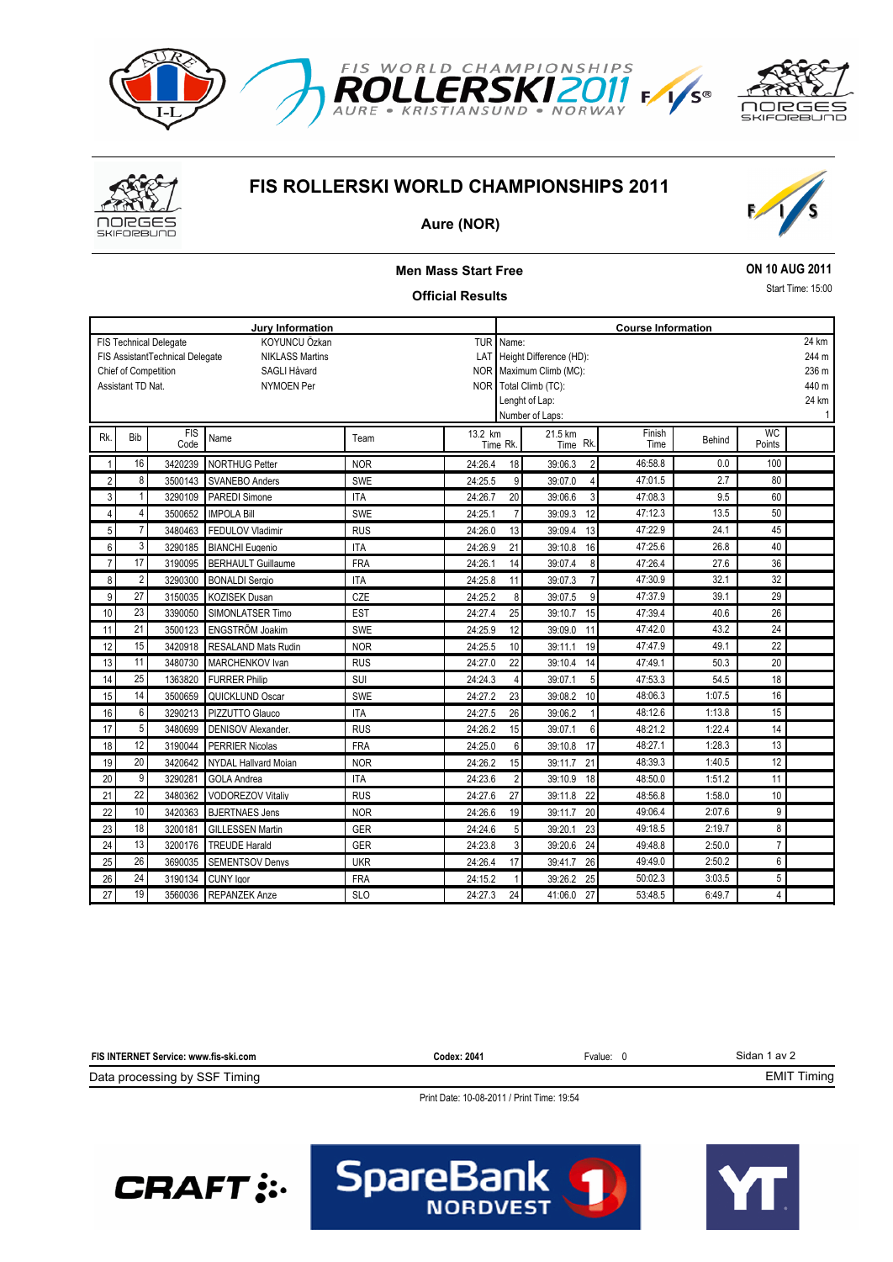



# **FIS ROLLERSKI WORLD CHAMPIONSHIPS 2011**



### **Aure (NOR)**

### **Men Mass Start Free Official Results ON 10 AUG 2011** Start Time: 15:00 **Jury Information Course Information** KOYUNCU Özkan NIKLASS Martins SAGLI Håvard NYMOEN Per FIS Technical Delegate Chief of Competition FIS AssistantTechnical Delegate Assistant TD Nat. TUR LAT NOR Maximum Climb (MC): NOR Name: Height Difference (HD): Total Climb (TC): Lenght of Lap: Number of Laps: 244 m 236 m 440 m 24 km 1 24 km Name The Team 13.2 km 21.5 km Finish Sehind<br>Time Behind Time Behind Time Rk Time Behind Time FIS Code WC<br>Points Rk. Bib FIS Name Team 13.2 km 21.5 km Finish Behind WC<br>Time Rk. Time Rk. Time Rk. Time Rk. Time Rk. Time Behind Points Time Rk. 21.5 km Time Rk. 1 16 3420239 NORTHUG Petter NOR 24:26.4 18 39:06.3 2 46:58.8 0.0 100 2 8 3500143 SVANEBO Anders SWE 24:25.5 9 39:07.0 4 47:01.5 2.7 80 3 1 3290109 PAREDI Simone ITA 24:26.7 20 39:06.6 3 47:08.3 9.5 60 4 4 3500652 IMPOLA Bill SWE 24:25.1 7 39:09.3 12 47:12.3 13.5 50 5 7 3480463 FEDULOV Vladimir RUS 24:26.0 13 39:09.4 13 47:22.9 24.1 45 6 3 3290185 BIANCHI Eugenio ITA 24:26.9 21 39:10.8 16 47:25.6 26.8 40 7 17 3190095 BERHAULT Guillaume FRA 24:26.1 14 39:07.4 8 47:26.4 27.6 36 8 2 3290300 BONALDI Sergio ITA 1 24:25.8 11 39:07.3 7 47:30.9 32.1 32 9 27 3150035 KOZISEK Dusan CZE 24:25.2 8 39:07.5 9 47:37.9 39.1 29 10 23 3390050 SIMONLATSER Timo EST 24:27.4 25 39:10.7 15 47:39.4 40.6 26 11 21 3500123 ENGSTRÕM Joakim SWE 24:25.9 12 39:09.0 11 47:42.0 43.2 24 12 15 3420918 RESALAND Mats Rudin NOR 24:25.5 10 39:11.1 19 47:47.9 49.1 22 13 11 3480730 MARCHENKOV Ivan RUS 24:27.0 22 39:10.4 14 47:49.1 50.3 20 14 25 1363820 FURRER Philip 8 | SUI | 24:24.3 4 39:07.1 5 | 47:53.3 | 54.5 | 18 15 14 3500659 QUICKLUND Oscar SWE 24:27.2 23 39:08.2 10 48:06.3 1:07.5 16 16 6 3290213 PIZZUTTO Glauco | ITA | 24:27.5 26 39:06.2 1 48:12.6 1:13.8 15 17 5 3480699 DENISOV Alexander. RUS 24:26.2 15 39:07.1 6 48:21.2 1:22.4 14 18 12 3190044 PERRIER Nicolas FRA 1 24:25.0 6 39:10.8 17 48:27.1 1:28.3 13 19 20 3420642 NYDAL Hallvard Moian NOR 24:26.2 15 39:11.7 21 48:39.3 1:40.5 12 20 9 3290281 GOLA Andrea ITA 24:23.6 2 39:10.9 18 48:50.0 1:51.2 11 21 22 3480362 VODOREZOV Vitaliv RUS 24:27.6 27 39:11.8 22 48:56.8 1:58.0 10 22 10 3420363 BJERTNAES Jens NOR 24:26.6 19 39:11.7 20 49:06.4 2:07.6 9 23 18 3200181 GILLESSEN Martin GER 24:24.6 5 39:20.1 23 49:18.5 2:19.7 8 24 13 3200176 TREUDE Harald GER 24:23.8 3 39:20.6 24 49:48.8 2:50.0 7 25 26 3690035 SEMENTSOV Denys UKR 24:26.4 17 39:41.7 26 49:49.0 2:50.2 6 26 24 3190134 CUNY Igor FRA 24:15.2 1 39:26.2 25 50:02.3 3:03.5 5

#### Sidan 1 av 2 Data processing by SSF Timing **FIS INTERNET Service: www.fis-ski.com** EMIT Timing **Codex: 2041** Fvalue: 0

SpareBank

27 19 3560036 REPANZEK Anze SLO 24:27.3 24 41:06.0 27 53:48.5 6:49.7 4

Print Date: 10-08-2011 / Print Time: 19:54

**NORDVEST**